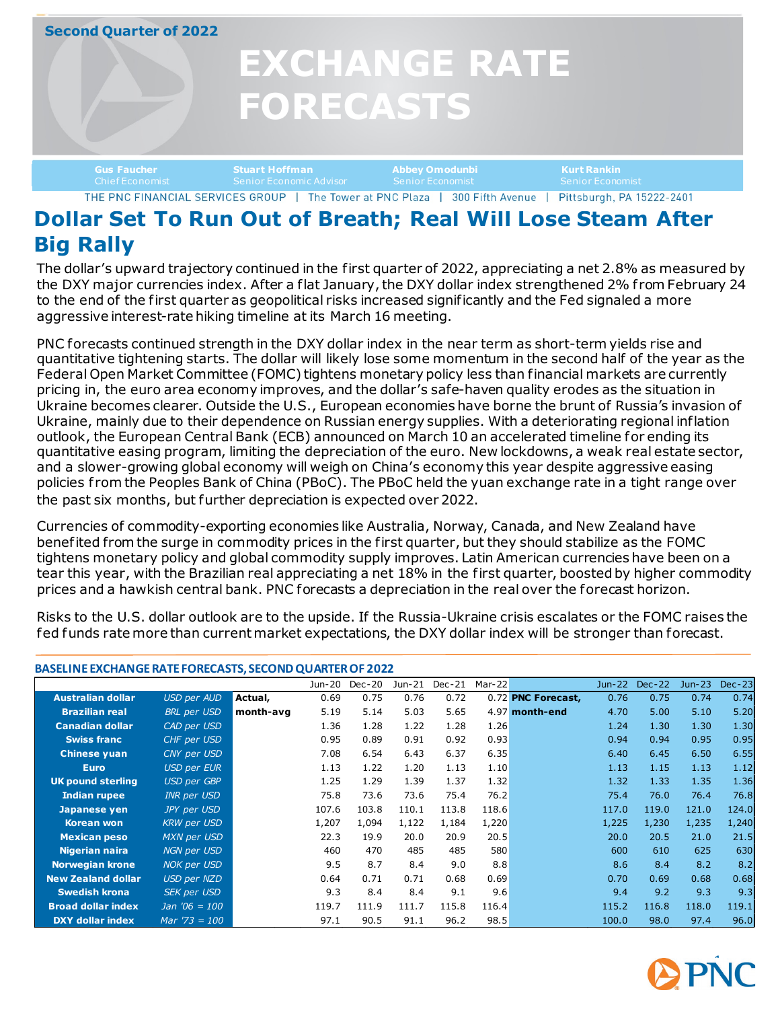# **Second Quarter of 2022 EXCHANGE RATE FORECASTS EXCHANGE RATE EXCHANGE RATE FORECASTS FORECASTS Gus Faucher Stuart Hoffman Abbey Omodunbi Kurt Rankin** THE PNC FINANCIAL SERVICES GROUP | The Tower at PNC Plaza | 300 Fifth Avenue | Pittsburgh, PA 15222-2401

### **Dollar Set To Run Out of Breath; Real Will Lose Steam After Big Rally**

The dollar's upward trajectory continued in the first quarter of 2022, appreciating a net 2.8% as measured by the DXY major currencies index. After a flat January, the DXY dollar index strengthened 2% from February 24 to the end of the first quarter as geopolitical risks increased significantly and the Fed signaled a more aggressive interest-rate hiking timeline at its March 16 meeting.

PNC forecasts continued strength in the DXY dollar index in the near term as short-term yields rise and quantitative tightening starts. The dollar will likely lose some momentum in the second half of the year as the Federal Open Market Committee (FOMC) tightens monetary policy less than financial markets are currently pricing in, the euro area economy improves, and the dollar's safe-haven quality erodes as the situation in Ukraine becomes clearer. Outside the U.S., European economies have borne the brunt of Russia's invasion of Ukraine, mainly due to their dependence on Russian energy supplies. With a deteriorating regional inflation outlook, the European Central Bank (ECB) announced on March 10 an accelerated timeline for ending its quantitative easing program, limiting the depreciation of the euro. New lockdowns, a weak real estate sector, and a slower-growing global economy will weigh on China's economy this year despite aggressive easing policies from the Peoples Bank of China (PBoC). The PBoC held the yuan exchange rate in a tight range over the past six months, but further depreciation is expected over 2022.

Currencies of commodity-exporting economies like Australia, Norway, Canada, and New Zealand have benefited from the surge in commodity prices in the first quarter, but they should stabilize as the FOMC tightens monetary policy and global commodity supply improves. Latin American currencies have been on a tear this year, with the Brazilian real appreciating a net 18% in the first quarter, boosted by higher commodity prices and a hawkish central bank. PNC forecasts a depreciation in the real over the forecast horizon.

Risks to the U.S. dollar outlook are to the upside. If the Russia-Ukraine crisis escalates or the FOMC raises the fed funds rate more than current market expectations, the DXY dollar index will be stronger than forecast.

| BASELINE EXCHANGE RATE FORECASTS, SECOND QUARTER OF 2022 |                    |           |        |        |        |        |        |                    |        |               |        |          |
|----------------------------------------------------------|--------------------|-----------|--------|--------|--------|--------|--------|--------------------|--------|---------------|--------|----------|
|                                                          |                    |           | Jun-20 | Dec-20 | Jun-21 | Dec-21 | Mar-22 |                    | Jun-22 | <b>Dec-22</b> | Jun-23 | $Dec-23$ |
| <b>Australian dollar</b>                                 | <b>USD per AUD</b> | Actual,   | 0.69   | 0.75   | 0.76   | 0.72   |        | 0.72 PNC Forecast, | 0.76   | 0.75          | 0.74   | 0.74     |
| <b>Brazilian real</b>                                    | <b>BRL</b> per USD | month-avg | 5.19   | 5.14   | 5.03   | 5.65   |        | 4.97 month-end     | 4.70   | 5.00          | 5.10   | 5.20     |
| <b>Canadian dollar</b>                                   | CAD per USD        |           | 1.36   | 1.28   | 1.22   | 1.28   | 1.26   |                    | 1.24   | 1.30          | 1.30   | 1.30     |
| <b>Swiss franc</b>                                       | CHF per USD        |           | 0.95   | 0.89   | 0.91   | 0.92   | 0.93   |                    | 0.94   | 0.94          | 0.95   | 0.95     |
| <b>Chinese yuan</b>                                      | CNY per USD        |           | 7.08   | 6.54   | 6.43   | 6.37   | 6.35   |                    | 6.40   | 6.45          | 6.50   | 6.55     |
| <b>Euro</b>                                              | <b>USD per EUR</b> |           | 1.13   | 1.22   | 1.20   | 1.13   | 1.10   |                    | 1.13   | 1.15          | 1.13   | 1.12     |
| <b>UK pound sterling</b>                                 | <b>USD per GBP</b> |           | 1.25   | 1.29   | 1.39   | 1.37   | 1.32   |                    | 1.32   | 1.33          | 1.35   | 1.36     |
| <b>Indian rupee</b>                                      | <b>INR per USD</b> |           | 75.8   | 73.6   | 73.6   | 75.4   | 76.2   |                    | 75.4   | 76.0          | 76.4   | 76.8     |
| Japanese yen                                             | JPY per USD        |           | 107.6  | 103.8  | 110.1  | 113.8  | 118.6  |                    | 117.0  | 119.0         | 121.0  | 124.0    |
| Korean won                                               | <b>KRW</b> per USD |           | 1,207  | 1,094  | 1,122  | 1,184  | 1,220  |                    | 1,225  | 1,230         | 1,235  | 1,240    |
| <b>Mexican peso</b>                                      | MXN per USD        |           | 22.3   | 19.9   | 20.0   | 20.9   | 20.5   |                    | 20.0   | 20.5          | 21.0   | 21.5     |
| Nigerian naira                                           | <b>NGN per USD</b> |           | 460    | 470    | 485    | 485    | 580    |                    | 600    | 610           | 625    | 630      |
| <b>Norwegian krone</b>                                   | <b>NOK per USD</b> |           | 9.5    | 8.7    | 8.4    | 9.0    | 8.8    |                    | 8.6    | 8.4           | 8.2    | 8.2      |
| <b>New Zealand dollar</b>                                | USD per NZD        |           | 0.64   | 0.71   | 0.71   | 0.68   | 0.69   |                    | 0.70   | 0.69          | 0.68   | 0.68     |
| <b>Swedish krona</b>                                     | <b>SEK per USD</b> |           | 9.3    | 8.4    | 8.4    | 9.1    | 9.6    |                    | 9.4    | 9.2           | 9.3    | 9.3      |
| <b>Broad dollar index</b>                                | $Jan'06 = 100$     |           | 119.7  | 111.9  | 111.7  | 115.8  | 116.4  |                    | 115.2  | 116.8         | 118.0  | 119.1    |
| <b>DXY dollar index</b>                                  | $Mar '73 = 100$    |           | 97.1   | 90.5   | 91.1   | 96.2   | 98.5   |                    | 100.0  | 98.0          | 97.4   | 96.0     |

#### **BASELINE EXCHANGE RATE FORECASTS, SECONDQUARTER OF 2022**

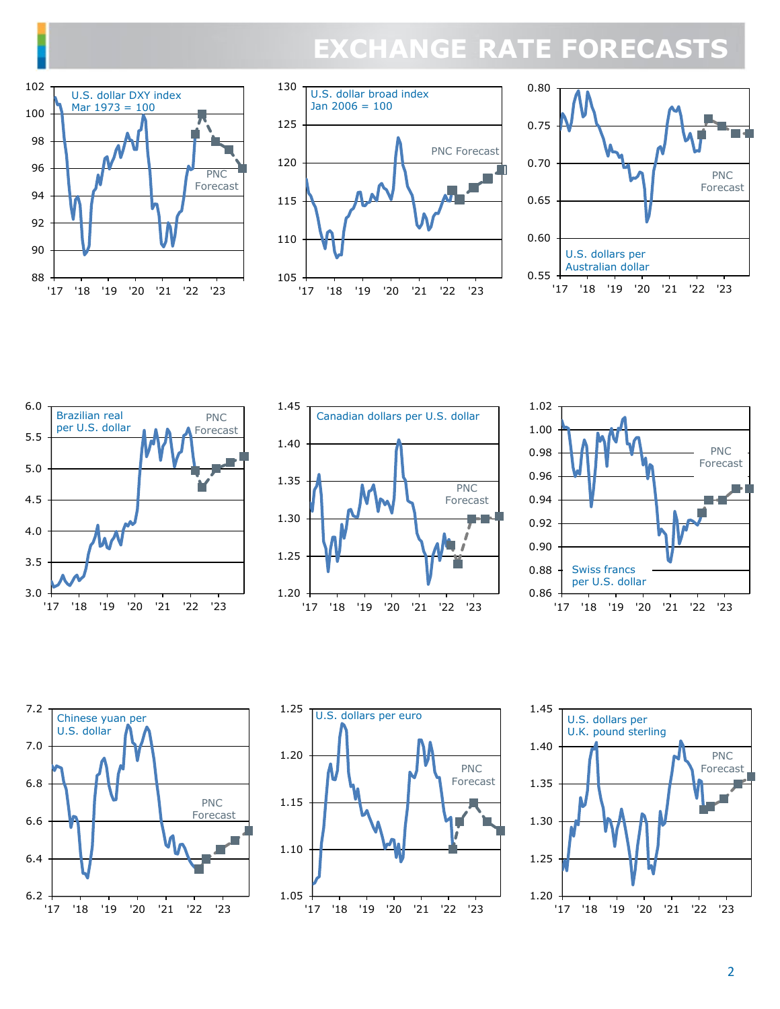# **EXCHANGE RATE FORECASTS**